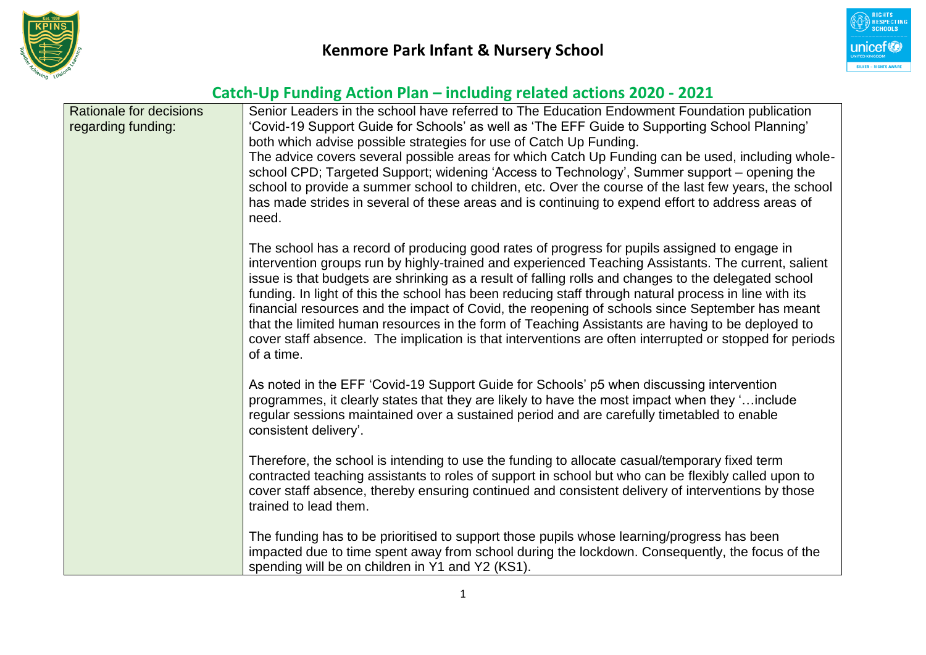



| <b>Rationale for decisions</b> | Senior Leaders in the school have referred to The Education Endowment Foundation publication                                                                                                             |  |  |  |  |  |
|--------------------------------|----------------------------------------------------------------------------------------------------------------------------------------------------------------------------------------------------------|--|--|--|--|--|
| regarding funding:             | 'Covid-19 Support Guide for Schools' as well as 'The EFF Guide to Supporting School Planning'                                                                                                            |  |  |  |  |  |
|                                | both which advise possible strategies for use of Catch Up Funding.                                                                                                                                       |  |  |  |  |  |
|                                | The advice covers several possible areas for which Catch Up Funding can be used, including whole-                                                                                                        |  |  |  |  |  |
|                                | school CPD; Targeted Support; widening 'Access to Technology', Summer support – opening the                                                                                                              |  |  |  |  |  |
|                                | school to provide a summer school to children, etc. Over the course of the last few years, the school                                                                                                    |  |  |  |  |  |
|                                | has made strides in several of these areas and is continuing to expend effort to address areas of<br>need.                                                                                               |  |  |  |  |  |
|                                | The school has a record of producing good rates of progress for pupils assigned to engage in                                                                                                             |  |  |  |  |  |
|                                | intervention groups run by highly-trained and experienced Teaching Assistants. The current, salient                                                                                                      |  |  |  |  |  |
|                                | issue is that budgets are shrinking as a result of falling rolls and changes to the delegated school                                                                                                     |  |  |  |  |  |
|                                | funding. In light of this the school has been reducing staff through natural process in line with its<br>financial resources and the impact of Covid, the reopening of schools since September has meant |  |  |  |  |  |
|                                | that the limited human resources in the form of Teaching Assistants are having to be deployed to                                                                                                         |  |  |  |  |  |
|                                | cover staff absence. The implication is that interventions are often interrupted or stopped for periods                                                                                                  |  |  |  |  |  |
|                                | of a time.                                                                                                                                                                                               |  |  |  |  |  |
|                                | As noted in the EFF 'Covid-19 Support Guide for Schools' p5 when discussing intervention                                                                                                                 |  |  |  |  |  |
|                                | programmes, it clearly states that they are likely to have the most impact when they 'include                                                                                                            |  |  |  |  |  |
|                                | regular sessions maintained over a sustained period and are carefully timetabled to enable                                                                                                               |  |  |  |  |  |
|                                | consistent delivery'.                                                                                                                                                                                    |  |  |  |  |  |
|                                | Therefore, the school is intending to use the funding to allocate casual/temporary fixed term                                                                                                            |  |  |  |  |  |
|                                | contracted teaching assistants to roles of support in school but who can be flexibly called upon to                                                                                                      |  |  |  |  |  |
|                                | cover staff absence, thereby ensuring continued and consistent delivery of interventions by those                                                                                                        |  |  |  |  |  |
|                                | trained to lead them.                                                                                                                                                                                    |  |  |  |  |  |
|                                | The funding has to be prioritised to support those pupils whose learning/progress has been                                                                                                               |  |  |  |  |  |
|                                | impacted due to time spent away from school during the lockdown. Consequently, the focus of the                                                                                                          |  |  |  |  |  |
|                                | spending will be on children in Y1 and Y2 (KS1).                                                                                                                                                         |  |  |  |  |  |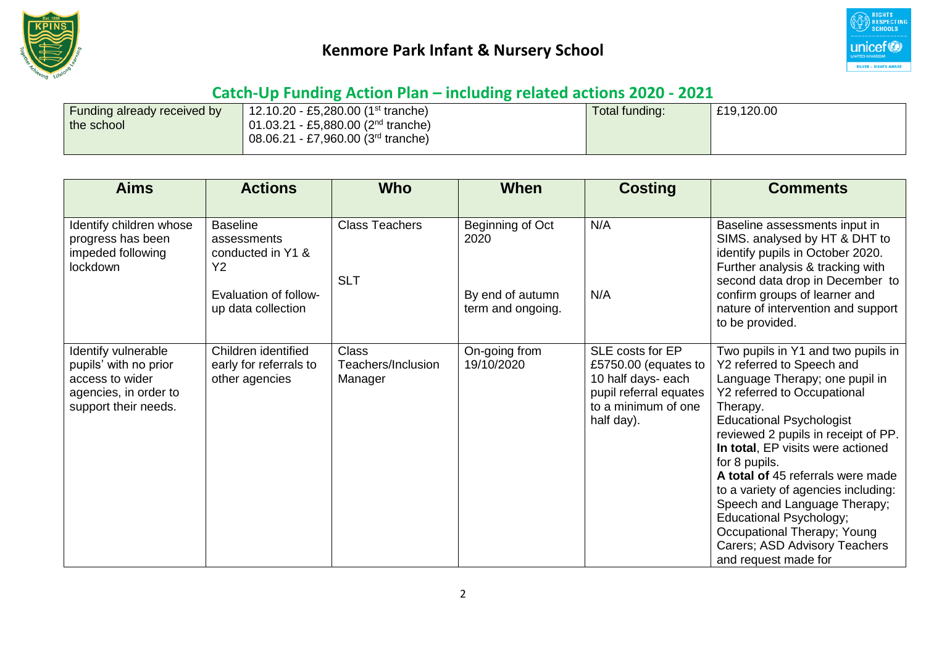



| <b>Funding already received by</b> | 12.10.20 - £5,280.00 (1 <sup>st</sup> tranche) | Total funding: | £19,120.00 |
|------------------------------------|------------------------------------------------|----------------|------------|
| the school                         | 01.03.21 - £5,880.00 ( $2nd$ tranche)          |                |            |
|                                    | 08.06.21 - £7,960.00 (3 <sup>rd</sup> tranche) |                |            |
|                                    |                                                |                |            |

| <b>Aims</b>                                                                                                      | <b>Actions</b>                                                                                                       | <b>Who</b>                                    | <b>When</b>                                                       | <b>Costing</b>                                                                                                                | <b>Comments</b>                                                                                                                                                                                                                                                                                                                                                                                                                                                                                             |
|------------------------------------------------------------------------------------------------------------------|----------------------------------------------------------------------------------------------------------------------|-----------------------------------------------|-------------------------------------------------------------------|-------------------------------------------------------------------------------------------------------------------------------|-------------------------------------------------------------------------------------------------------------------------------------------------------------------------------------------------------------------------------------------------------------------------------------------------------------------------------------------------------------------------------------------------------------------------------------------------------------------------------------------------------------|
| Identify children whose<br>progress has been<br>impeded following<br>lockdown                                    | <b>Baseline</b><br>assessments<br>conducted in Y1 &<br>Y <sub>2</sub><br>Evaluation of follow-<br>up data collection | <b>Class Teachers</b><br><b>SLT</b>           | Beginning of Oct<br>2020<br>By end of autumn<br>term and ongoing. | N/A<br>N/A                                                                                                                    | Baseline assessments input in<br>SIMS. analysed by HT & DHT to<br>identify pupils in October 2020.<br>Further analysis & tracking with<br>second data drop in December to<br>confirm groups of learner and<br>nature of intervention and support<br>to be provided.                                                                                                                                                                                                                                         |
| Identify vulnerable<br>pupils' with no prior<br>access to wider<br>agencies, in order to<br>support their needs. | Children identified<br>early for referrals to<br>other agencies                                                      | <b>Class</b><br>Teachers/Inclusion<br>Manager | On-going from<br>19/10/2020                                       | SLE costs for EP<br>£5750.00 (equates to<br>10 half days- each<br>pupil referral equates<br>to a minimum of one<br>half day). | Two pupils in Y1 and two pupils in<br>Y2 referred to Speech and<br>Language Therapy; one pupil in<br>Y2 referred to Occupational<br>Therapy.<br><b>Educational Psychologist</b><br>reviewed 2 pupils in receipt of PP.<br>In total, EP visits were actioned<br>for 8 pupils.<br>A total of 45 referrals were made<br>to a variety of agencies including:<br>Speech and Language Therapy;<br>Educational Psychology;<br>Occupational Therapy; Young<br>Carers; ASD Advisory Teachers<br>and request made for |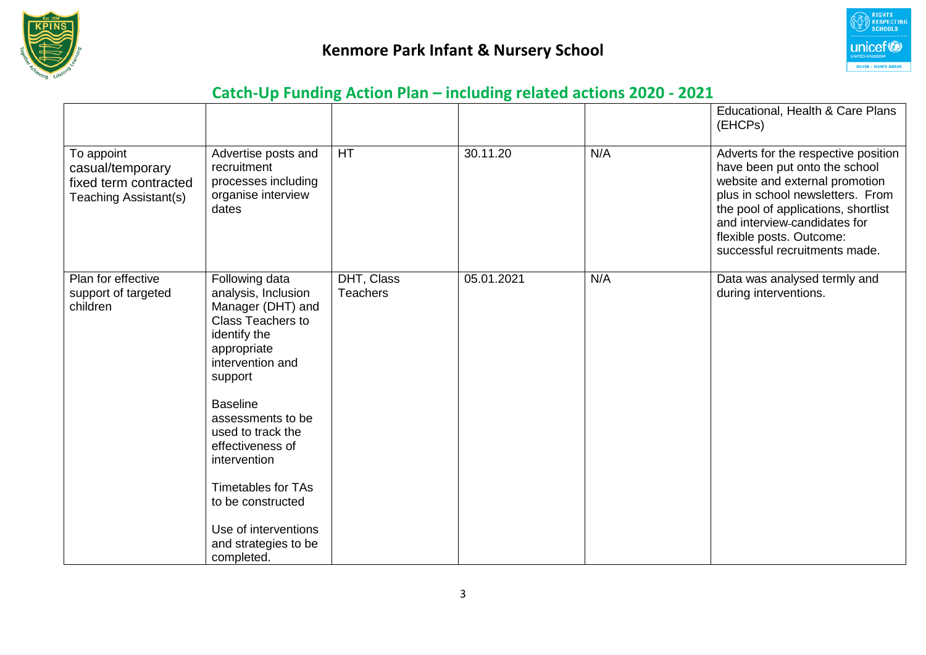



|                                                                                  |                                                                                                                                                                                                                                                                                                                                                                       |                               |            |     | Educational, Health & Care Plans<br>(EHCPs)                                                                                                                                                                                                                                    |
|----------------------------------------------------------------------------------|-----------------------------------------------------------------------------------------------------------------------------------------------------------------------------------------------------------------------------------------------------------------------------------------------------------------------------------------------------------------------|-------------------------------|------------|-----|--------------------------------------------------------------------------------------------------------------------------------------------------------------------------------------------------------------------------------------------------------------------------------|
| To appoint<br>casual/temporary<br>fixed term contracted<br>Teaching Assistant(s) | Advertise posts and<br>recruitment<br>processes including<br>organise interview<br>dates                                                                                                                                                                                                                                                                              | HT                            | 30.11.20   | N/A | Adverts for the respective position<br>have been put onto the school<br>website and external promotion<br>plus in school newsletters. From<br>the pool of applications, shortlist<br>and interview-candidates for<br>flexible posts. Outcome:<br>successful recruitments made. |
| Plan for effective<br>support of targeted<br>children                            | Following data<br>analysis, Inclusion<br>Manager (DHT) and<br><b>Class Teachers to</b><br>identify the<br>appropriate<br>intervention and<br>support<br><b>Baseline</b><br>assessments to be<br>used to track the<br>effectiveness of<br>intervention<br><b>Timetables for TAs</b><br>to be constructed<br>Use of interventions<br>and strategies to be<br>completed. | DHT, Class<br><b>Teachers</b> | 05.01.2021 | N/A | Data was analysed termly and<br>during interventions.                                                                                                                                                                                                                          |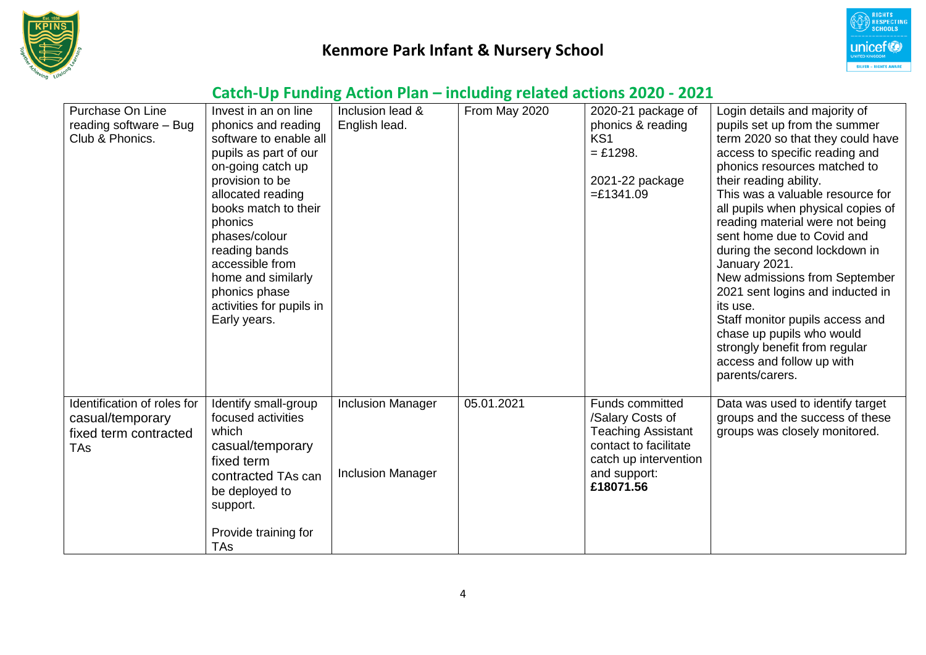



| Purchase On Line<br>reading software - Bug<br>Club & Phonics.                          | Invest in an on line<br>phonics and reading<br>software to enable all<br>pupils as part of our<br>on-going catch up<br>provision to be<br>allocated reading<br>books match to their<br>phonics<br>phases/colour<br>reading bands<br>accessible from<br>home and similarly<br>phonics phase<br>activities for pupils in<br>Early years. | Inclusion lead &<br>English lead.                    | From May 2020 | 2020-21 package of<br>phonics & reading<br>KS <sub>1</sub><br>$=$ £1298.<br>2021-22 package<br>$=£1341.09$                                             | Login details and majority of<br>pupils set up from the summer<br>term 2020 so that they could have<br>access to specific reading and<br>phonics resources matched to<br>their reading ability.<br>This was a valuable resource for<br>all pupils when physical copies of<br>reading material were not being<br>sent home due to Covid and<br>during the second lockdown in<br>January 2021.<br>New admissions from September<br>2021 sent logins and inducted in<br>its use.<br>Staff monitor pupils access and<br>chase up pupils who would<br>strongly benefit from regular<br>access and follow up with<br>parents/carers. |
|----------------------------------------------------------------------------------------|----------------------------------------------------------------------------------------------------------------------------------------------------------------------------------------------------------------------------------------------------------------------------------------------------------------------------------------|------------------------------------------------------|---------------|--------------------------------------------------------------------------------------------------------------------------------------------------------|--------------------------------------------------------------------------------------------------------------------------------------------------------------------------------------------------------------------------------------------------------------------------------------------------------------------------------------------------------------------------------------------------------------------------------------------------------------------------------------------------------------------------------------------------------------------------------------------------------------------------------|
| Identification of roles for<br>casual/temporary<br>fixed term contracted<br><b>TAs</b> | Identify small-group<br>focused activities<br>which<br>casual/temporary<br>fixed term<br>contracted TAs can<br>be deployed to<br>support.<br>Provide training for<br><b>TAs</b>                                                                                                                                                        | <b>Inclusion Manager</b><br><b>Inclusion Manager</b> | 05.01.2021    | <b>Funds committed</b><br>/Salary Costs of<br><b>Teaching Assistant</b><br>contact to facilitate<br>catch up intervention<br>and support:<br>£18071.56 | Data was used to identify target<br>groups and the success of these<br>groups was closely monitored.                                                                                                                                                                                                                                                                                                                                                                                                                                                                                                                           |